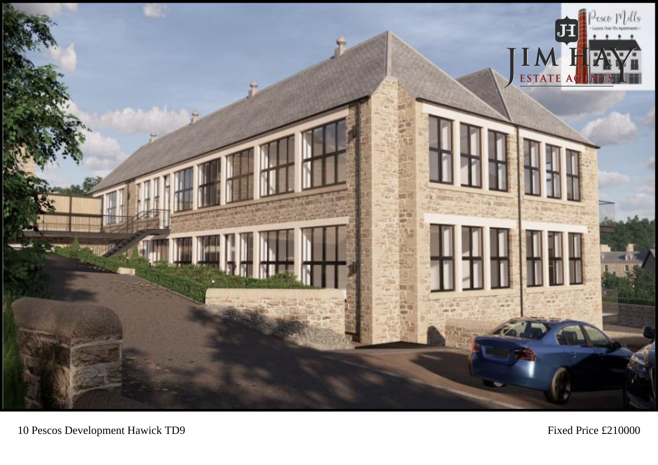

10 Pescos Development Hawick TD9

Fixed Price £210000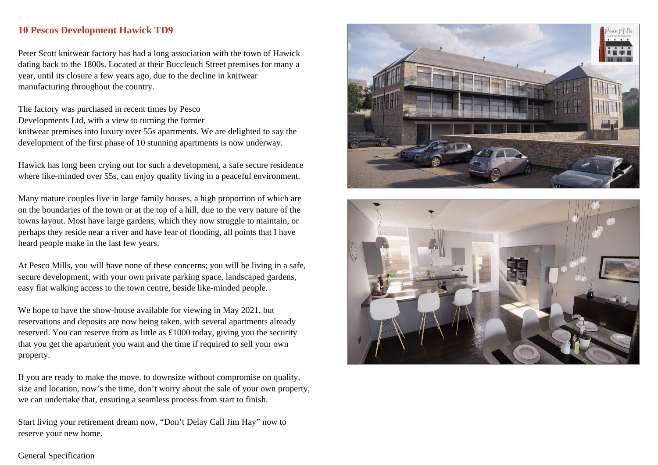## **10 Pescos Development Hawick TD9**

Peter Scott knitwear factory has had a long association with the town of Hawick dating back to the 1800s. Located at their Buccleuch Street premises for many a year, until its closure a few years ago, due to the decline in knitwear manufacturing throughout the country.

The factory was purchased in recent times by Pesco Developments Ltd, with a view to turning the former knitwear premises into luxury over 55s apartments. We are delighted to say the development of the first phase of 10 stunning apartments is now underway.

Hawick has long been crying out for such a development, a safe secure residence where like-minded over 55s, can enjoy quality living in a peaceful environment.

Many mature couples live in large family houses, a high proportion of which are on the boundaries of the town or at the top of a hill, due to the very nature of the towns layout. Most have large gardens, which they now struggle to maintain, or perhaps they reside near a river and have fear of flooding, all points that I have heard people make in the last few years.

At Pesco Mills, you will have none of these concerns; you will be living in a safe, secure development, with your own private parking space, landscaped gardens, easy flat walking access to the town centre, beside like-minded people.

We hope to have the show-house available for viewing in May 2021, but reservations and deposits are now being taken, with several apartments already reserved. You can reserve from as little as £1000 today, giving you the security that you get the apartment you want and the time if required to sell your own property.

If you are ready to make the move, to downsize without compromise on quality, size and location, now's the time, don't worry about the sale of your own property, we can undertake that, ensuring a seamless process from start to finish.

Start living your retirement dream now, "Don't Delay Call Jim Hay" now to reserve your new home.





#### General Specification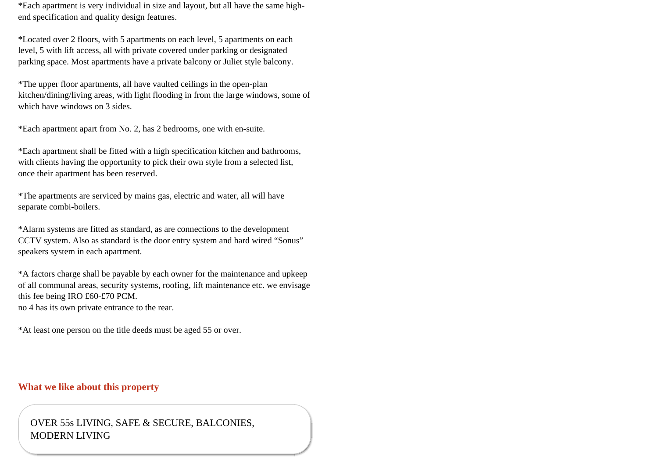\*Each apartment is very individual in size and layout, but all have the same highend specification and quality design features.

\*Located over 2 floors, with 5 apartments on each level, 5 apartments on each level, 5 with lift access, all with private covered under parking or designated parking space. Most apartments have a private balcony or Juliet style balcony.

\*The upper floor apartments, all have vaulted ceilings in the open-plan kitchen/dining/living areas, with light flooding in from the large windows, some of which have windows on 3 sides.

\*Each apartment apart from No. 2, has 2 bedrooms, one with en-suite.

\*Each apartment shall be fitted with a high specification kitchen and bathrooms, with clients having the opportunity to pick their own style from a selected list, once their apartment has been reserved.

\*The apartments are serviced by mains gas, electric and water, all will have separate combi-boilers.

\*Alarm systems are fitted as standard, as are connections to the development CCTV system. Also as standard is the door entry system and hard wired "Sonus" speakers system in each apartment.

\*A factors charge shall be payable by each owner for the maintenance and upkeep of all communal areas, security systems, roofing, lift maintenance etc. we envisage this fee being IRO £60-£70 PCM. no 4 has its own private entrance to the rear.

\*At least one person on the title deeds must be aged 55 or over.

### **What we like about this property**

OVER 55s LIVING, SAFE & SECURE, BALCONIES, MODERN LIVING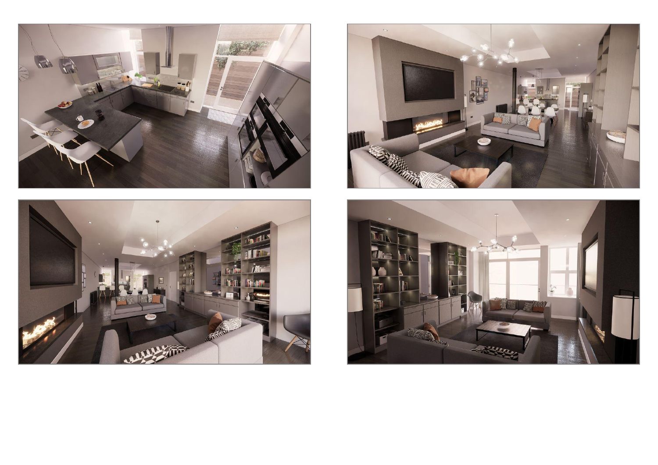